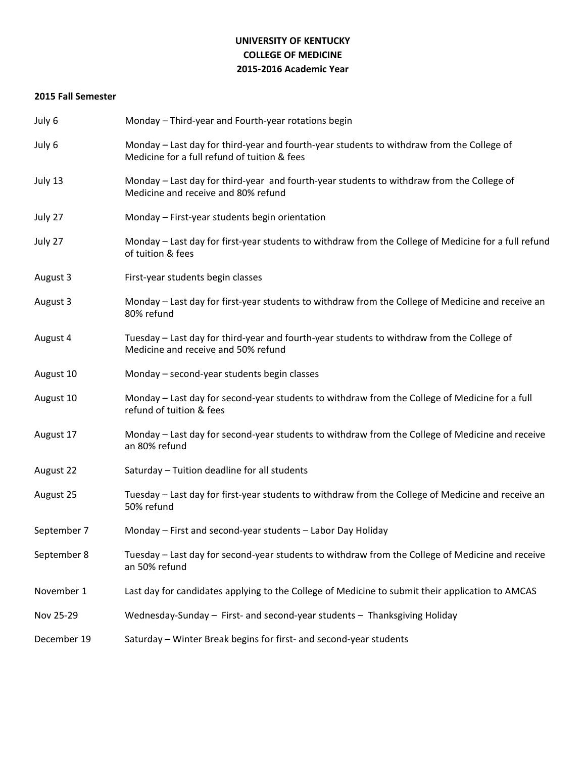# **UNIVERSITY OF KENTUCKY COLLEGE OF MEDICINE 2015-2016 Academic Year**

## **2015 Fall Semester**

| July 6      | Monday - Third-year and Fourth-year rotations begin                                                                                       |
|-------------|-------------------------------------------------------------------------------------------------------------------------------------------|
| July 6      | Monday - Last day for third-year and fourth-year students to withdraw from the College of<br>Medicine for a full refund of tuition & fees |
| July 13     | Monday – Last day for third-year and fourth-year students to withdraw from the College of<br>Medicine and receive and 80% refund          |
| July 27     | Monday - First-year students begin orientation                                                                                            |
| July 27     | Monday - Last day for first-year students to withdraw from the College of Medicine for a full refund<br>of tuition & fees                 |
| August 3    | First-year students begin classes                                                                                                         |
| August 3    | Monday - Last day for first-year students to withdraw from the College of Medicine and receive an<br>80% refund                           |
| August 4    | Tuesday - Last day for third-year and fourth-year students to withdraw from the College of<br>Medicine and receive and 50% refund         |
| August 10   | Monday - second-year students begin classes                                                                                               |
| August 10   | Monday - Last day for second-year students to withdraw from the College of Medicine for a full<br>refund of tuition & fees                |
| August 17   | Monday - Last day for second-year students to withdraw from the College of Medicine and receive<br>an 80% refund                          |
| August 22   | Saturday - Tuition deadline for all students                                                                                              |
| August 25   | Tuesday - Last day for first-year students to withdraw from the College of Medicine and receive an<br>50% refund                          |
| September 7 | Monday - First and second-year students - Labor Day Holiday                                                                               |
| September 8 | Tuesday - Last day for second-year students to withdraw from the College of Medicine and receive<br>an 50% refund                         |
| November 1  | Last day for candidates applying to the College of Medicine to submit their application to AMCAS                                          |
| Nov 25-29   | Wednesday-Sunday - First- and second-year students - Thanksgiving Holiday                                                                 |
| December 19 | Saturday - Winter Break begins for first- and second-year students                                                                        |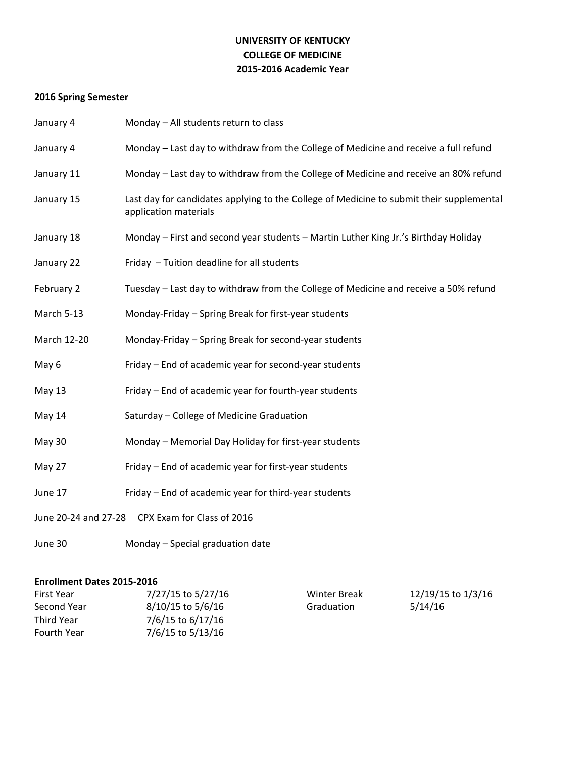# **UNIVERSITY OF KENTUCKY COLLEGE OF MEDICINE 2015-2016 Academic Year**

# **2016 Spring Semester**

| January 4                                          | Monday - All students return to class                                                                             |  |
|----------------------------------------------------|-------------------------------------------------------------------------------------------------------------------|--|
| January 4                                          | Monday - Last day to withdraw from the College of Medicine and receive a full refund                              |  |
| January 11                                         | Monday - Last day to withdraw from the College of Medicine and receive an 80% refund                              |  |
| January 15                                         | Last day for candidates applying to the College of Medicine to submit their supplemental<br>application materials |  |
| January 18                                         | Monday - First and second year students - Martin Luther King Jr.'s Birthday Holiday                               |  |
| January 22                                         | Friday - Tuition deadline for all students                                                                        |  |
| February 2                                         | Tuesday - Last day to withdraw from the College of Medicine and receive a 50% refund                              |  |
| March 5-13                                         | Monday-Friday - Spring Break for first-year students                                                              |  |
| March 12-20                                        | Monday-Friday - Spring Break for second-year students                                                             |  |
| May 6                                              | Friday - End of academic year for second-year students                                                            |  |
| May 13                                             | Friday - End of academic year for fourth-year students                                                            |  |
| May 14                                             | Saturday - College of Medicine Graduation                                                                         |  |
| May 30                                             | Monday - Memorial Day Holiday for first-year students                                                             |  |
| May 27                                             | Friday - End of academic year for first-year students                                                             |  |
| June 17                                            | Friday - End of academic year for third-year students                                                             |  |
| CPX Exam for Class of 2016<br>June 20-24 and 27-28 |                                                                                                                   |  |

June 30 Monday – Special graduation date

# **Enrollment Dates 2015-2016**

| First Year  | 7/27/15 to 5/27/16 | Winter Break | 12/19/15 to 1/3/16 |
|-------------|--------------------|--------------|--------------------|
| Second Year | 8/10/15 to 5/6/16  | Graduation   | 5/14/16            |
| Third Year  | 7/6/15 to 6/17/16  |              |                    |
| Fourth Year | 7/6/15 to 5/13/16  |              |                    |